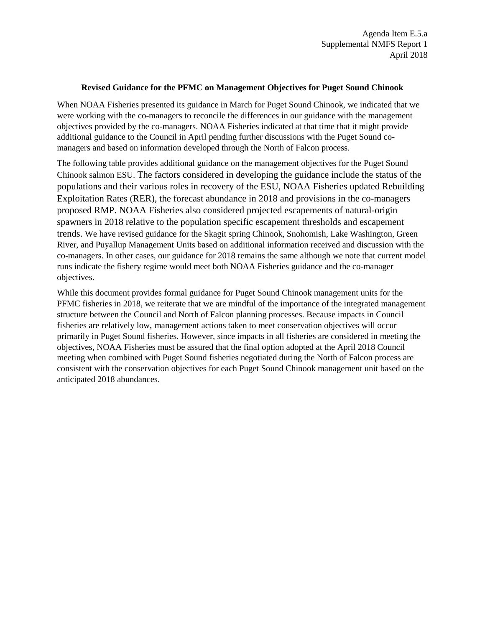## **Revised Guidance for the PFMC on Management Objectives for Puget Sound Chinook**

When NOAA Fisheries presented its guidance in March for Puget Sound Chinook, we indicated that we were working with the co-managers to reconcile the differences in our guidance with the management objectives provided by the co-managers. NOAA Fisheries indicated at that time that it might provide additional guidance to the Council in April pending further discussions with the Puget Sound comanagers and based on information developed through the North of Falcon process.

The following table provides additional guidance on the management objectives for the Puget Sound Chinook salmon ESU. The factors considered in developing the guidance include the status of the populations and their various roles in recovery of the ESU, NOAA Fisheries updated Rebuilding Exploitation Rates (RER), the forecast abundance in 2018 and provisions in the co-managers proposed RMP. NOAA Fisheries also considered projected escapements of natural-origin spawners in 2018 relative to the population specific escapement thresholds and escapement trends. We have revised guidance for the Skagit spring Chinook, Snohomish, Lake Washington, Green River, and Puyallup Management Units based on additional information received and discussion with the co-managers. In other cases, our guidance for 2018 remains the same although we note that current model runs indicate the fishery regime would meet both NOAA Fisheries guidance and the co-manager objectives.

While this document provides formal guidance for Puget Sound Chinook management units for the PFMC fisheries in 2018, we reiterate that we are mindful of the importance of the integrated management structure between the Council and North of Falcon planning processes. Because impacts in Council fisheries are relatively low, management actions taken to meet conservation objectives will occur primarily in Puget Sound fisheries. However, since impacts in all fisheries are considered in meeting the objectives, NOAA Fisheries must be assured that the final option adopted at the April 2018 Council meeting when combined with Puget Sound fisheries negotiated during the North of Falcon process are consistent with the conservation objectives for each Puget Sound Chinook management unit based on the anticipated 2018 abundances.